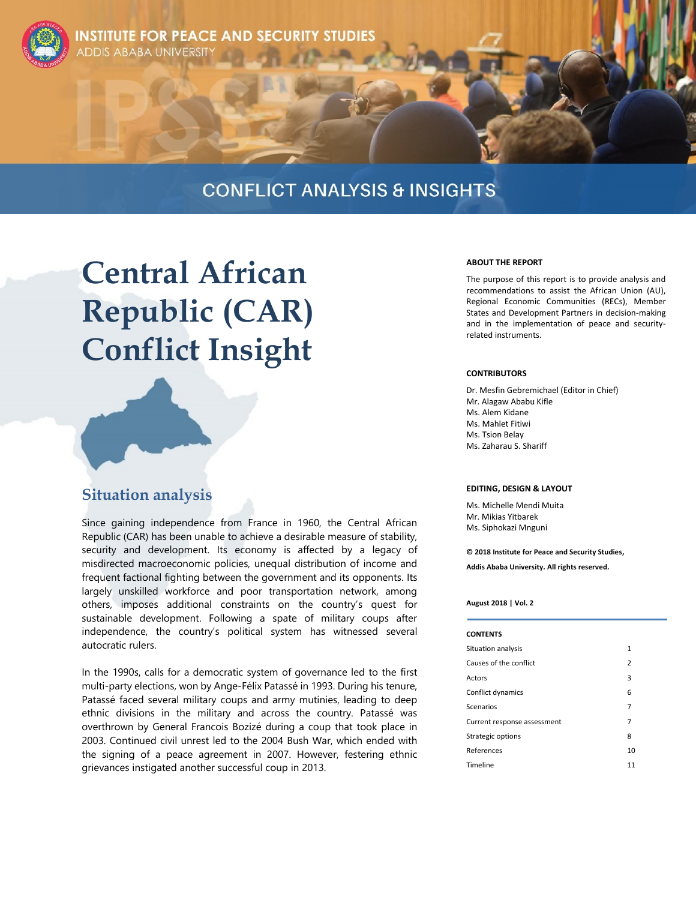

**TITUTE FOR PEACE AND SECURITY STUDIES ABABA UNIVERSITY** 

# **CONFLICT ANALYSIS & INSIGHTS**

# **Central African Republic (CAR) Conflict Insight**

## **Situation analysis**

Since gaining independence from France in 1960, the Central African Republic (CAR) has been unable to achieve a desirable measure of stability, security and development. Its economy is affected by a legacy of misdirected macroeconomic policies, unequal distribution of income and frequent factional fighting between the government and its opponents. Its largely unskilled workforce and poor transportation network, among others, imposes additional constraints on the country's quest for sustainable development. Following a spate of military coups after independence, the country's political system has witnessed several autocratic rulers.

In the 1990s, calls for a democratic system of governance led to the first multi-party elections, won by Ange-Félix Patassé in 1993. During his tenure, Patassé faced several military coups and army mutinies, leading to deep ethnic divisions in the military and across the country. Patassé was overthrown by General Francois Bozizé during a coup that took place in 2003. Continued civil unrest led to the 2004 Bush War, which ended with the signing of a peace agreement in 2007. However, festering ethnic grievances instigated another successful coup in 2013.

#### **ABOUT THE REPORT**

The purpose of this report is to provide analysis and recommendations to assist the African Union (AU), Regional Economic Communities (RECs), Member States and Development Partners in decision-making and in the implementation of peace and securityrelated instruments.

#### **CONTRIBUTORS**

Dr. Mesfin Gebremichael (Editor in Chief) Mr. Alagaw Ababu Kifle Ms. Alem Kidane Ms. Mahlet Fitiwi Ms. Tsion Belay Ms. Zaharau S. Shariff

#### **EDITING, DESIGN & LAYOUT**

Ms. Michelle Mendi Muita Mr. Mikias Yitbarek Ms. Siphokazi Mnguni

**© 2018 Institute for Peace and Security Studies, Addis Ababa University. All rights reserved.**

#### **August 2018 | Vol. 2**

#### **CONTENTS**

| Situation analysis          | 1              |
|-----------------------------|----------------|
| Causes of the conflict      | $\overline{2}$ |
| Actors                      | 3              |
| Conflict dynamics           | 6              |
| Scenarios                   | 7              |
| Current response assessment | 7              |
| Strategic options           | 8              |
| References                  | 10             |
| Timeline                    | 11             |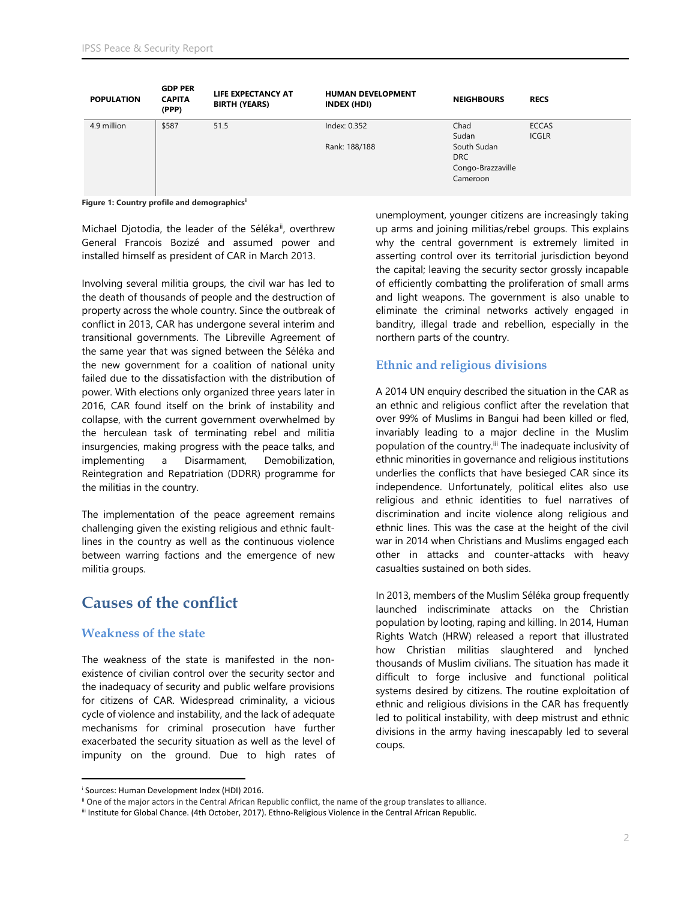| <b>POPULATION</b> | <b>GDP PER</b><br><b>CAPITA</b><br>(PPP) | LIFE EXPECTANCY AT<br><b>BIRTH (YEARS)</b> | <b>HUMAN DEVELOPMENT</b><br>INDEX (HDI) | <b>NEIGHBOURS</b> | <b>RECS</b>  |
|-------------------|------------------------------------------|--------------------------------------------|-----------------------------------------|-------------------|--------------|
| 4.9 million       | \$587                                    | 51.5                                       | Index: 0.352                            | Chad              | <b>ECCAS</b> |
|                   |                                          |                                            |                                         | Sudan             | <b>ICGLR</b> |
|                   |                                          |                                            | Rank: 188/188                           | South Sudan       |              |
|                   |                                          |                                            |                                         | <b>DRC</b>        |              |
|                   |                                          |                                            |                                         | Congo-Brazzaville |              |
|                   |                                          |                                            |                                         | Cameroon          |              |
|                   |                                          |                                            |                                         |                   |              |

**Figure 1: Country profile and demographics<sup>i</sup>**

Michael Djotodia, the leader of the Séléka<sup>ii</sup>, overthrew General Francois Bozizé and assumed power and installed himself as president of CAR in March 2013.

Involving several militia groups, the civil war has led to the death of thousands of people and the destruction of property across the whole country. Since the outbreak of conflict in 2013, CAR has undergone several interim and transitional governments. The Libreville Agreement of the same year that was signed between the Séléka and the new government for a coalition of national unity failed due to the dissatisfaction with the distribution of power. With elections only organized three years later in 2016, CAR found itself on the brink of instability and collapse, with the current government overwhelmed by the herculean task of terminating rebel and militia insurgencies, making progress with the peace talks, and implementing a Disarmament, Demobilization, Reintegration and Repatriation (DDRR) programme for the militias in the country.

The implementation of the peace agreement remains challenging given the existing religious and ethnic faultlines in the country as well as the continuous violence between warring factions and the emergence of new militia groups.

## **Causes of the conflict**

#### **Weakness of the state**

The weakness of the state is manifested in the nonexistence of civilian control over the security sector and the inadequacy of security and public welfare provisions for citizens of CAR. Widespread criminality, a vicious cycle of violence and instability, and the lack of adequate mechanisms for criminal prosecution have further exacerbated the security situation as well as the level of impunity on the ground. Due to high rates of unemployment, younger citizens are increasingly taking up arms and joining militias/rebel groups. This explains why the central government is extremely limited in asserting control over its territorial jurisdiction beyond the capital; leaving the security sector grossly incapable of efficiently combatting the proliferation of small arms and light weapons. The government is also unable to eliminate the criminal networks actively engaged in banditry, illegal trade and rebellion, especially in the northern parts of the country.

#### **Ethnic and religious divisions**

A 2014 UN enquiry described the situation in the CAR as an ethnic and religious conflict after the revelation that over 99% of Muslims in Bangui had been killed or fled, invariably leading to a major decline in the Muslim population of the country.<sup>iii</sup> The inadequate inclusivity of ethnic minorities in governance and religious institutions underlies the conflicts that have besieged CAR since its independence. Unfortunately, political elites also use religious and ethnic identities to fuel narratives of discrimination and incite violence along religious and ethnic lines. This was the case at the height of the civil war in 2014 when Christians and Muslims engaged each other in attacks and counter-attacks with heavy casualties sustained on both sides.

In 2013, members of the Muslim Séléka group frequently launched indiscriminate attacks on the Christian population by looting, raping and killing. In 2014, Human Rights Watch (HRW) released a report that illustrated how Christian militias slaughtered and lynched thousands of Muslim civilians. The situation has made it difficult to forge inclusive and functional political systems desired by citizens. The routine exploitation of ethnic and religious divisions in the CAR has frequently led to political instability, with deep mistrust and ethnic divisions in the army having inescapably led to several coups.

 $\overline{a}$ <sup>i</sup> Sources: Human Development Index (HDI) 2016.

ii One of the major actors in the Central African Republic conflict, the name of the group translates to alliance.

iii Institute for Global Chance. (4th October, 2017). Ethno-Religious Violence in the Central African Republic.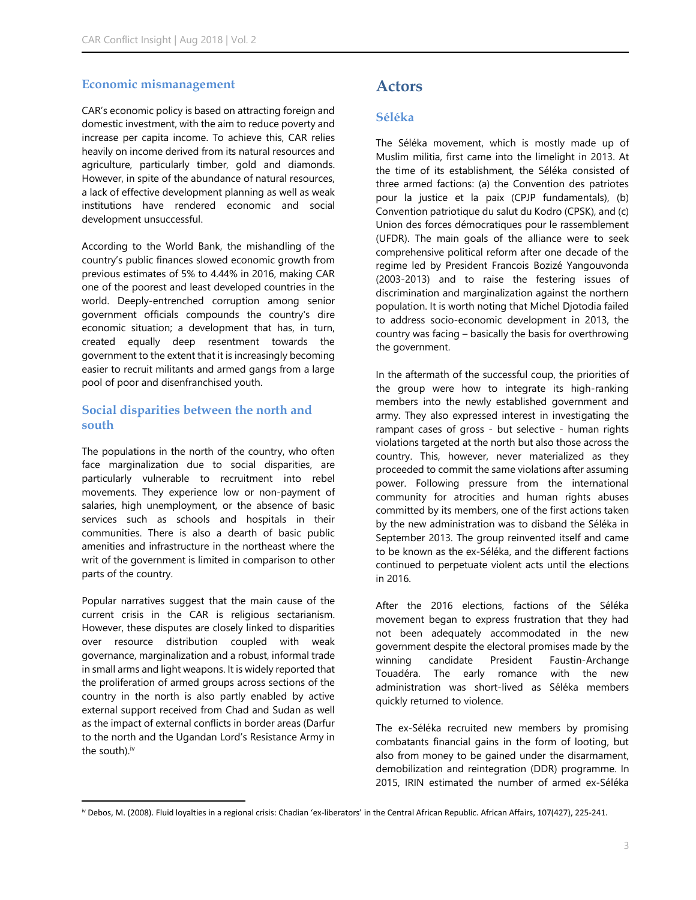#### **Economic mismanagement**

CAR's economic policy is based on attracting foreign and domestic investment, with the aim to reduce poverty and increase per capita income. To achieve this, CAR relies heavily on income derived from its natural resources and agriculture, particularly timber, gold and diamonds. However, in spite of the abundance of natural resources, a lack of effective development planning as well as weak institutions have rendered economic and social development unsuccessful.

According to the World Bank, the mishandling of the country's public finances slowed economic growth from previous estimates of 5% to 4.44% in 2016, making CAR one of the poorest and least developed countries in the world. Deeply-entrenched corruption among senior government officials compounds the country's dire economic situation; a development that has, in turn, created equally deep resentment towards the government to the extent that it is increasingly becoming easier to recruit militants and armed gangs from a large pool of poor and disenfranchised youth.

#### **Social disparities between the north and south**

The populations in the north of the country, who often face marginalization due to social disparities, are particularly vulnerable to recruitment into rebel movements. They experience low or non-payment of salaries, high unemployment, or the absence of basic services such as schools and hospitals in their communities. There is also a dearth of basic public amenities and infrastructure in the northeast where the writ of the government is limited in comparison to other parts of the country.

Popular narratives suggest that the main cause of the current crisis in the CAR is religious sectarianism. However, these disputes are closely linked to disparities over resource distribution coupled with weak governance, marginalization and a robust, informal trade in small arms and light weapons. It is widely reported that the proliferation of armed groups across sections of the country in the north is also partly enabled by active external support received from Chad and Sudan as well as the impact of external conflicts in border areas (Darfur to the north and the Ugandan Lord's Resistance Army in the south).<sup>iv</sup>

## **Actors**

#### **Séléka**

The Séléka movement, which is mostly made up of Muslim militia, first came into the limelight in 2013. At the time of its establishment, the Séléka consisted of three armed factions: (a) the Convention des patriotes pour la justice et la paix (CPJP fundamentals), (b) Convention patriotique du salut du Kodro (CPSK), and (c) Union des forces démocratiques pour le rassemblement (UFDR). The main goals of the alliance were to seek comprehensive political reform after one decade of the regime led by President Francois Bozizé Yangouvonda (2003-2013) and to raise the festering issues of discrimination and marginalization against the northern population. It is worth noting that Michel Djotodia failed to address socio-economic development in 2013, the country was facing – basically the basis for overthrowing the government.

In the aftermath of the successful coup, the priorities of the group were how to integrate its high-ranking members into the newly established government and army. They also expressed interest in investigating the rampant cases of gross - but selective - human rights violations targeted at the north but also those across the country. This, however, never materialized as they proceeded to commit the same violations after assuming power. Following pressure from the international community for atrocities and human rights abuses committed by its members, one of the first actions taken by the new administration was to disband the Séléka in September 2013. The group reinvented itself and came to be known as the ex-Séléka, and the different factions continued to perpetuate violent acts until the elections in 2016.

After the 2016 elections, factions of the Séléka movement began to express frustration that they had not been adequately accommodated in the new government despite the electoral promises made by the winning candidate President Faustin-Archange Touadéra. The early romance with the new administration was short-lived as Séléka members quickly returned to violence.

The ex-Séléka recruited new members by promising combatants financial gains in the form of looting, but also from money to be gained under the disarmament, demobilization and reintegration (DDR) programme. In 2015, IRIN estimated the number of armed ex-Séléka

l iv Debos, M. (2008). Fluid loyalties in a regional crisis: Chadian 'ex-liberators' in the Central African Republic. African Affairs, 107(427), 225-241.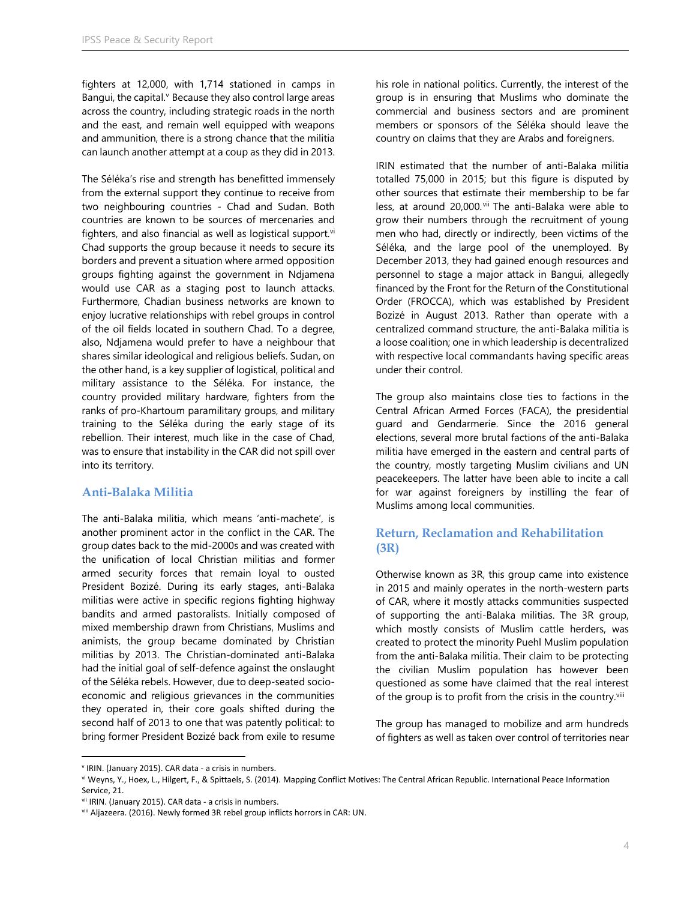fighters at 12,000, with 1,714 stationed in camps in Bangui, the capital.<sup>v</sup> Because they also control large areas across the country, including strategic roads in the north and the east, and remain well equipped with weapons and ammunition, there is a strong chance that the militia can launch another attempt at a coup as they did in 2013.

The Séléka's rise and strength has benefitted immensely from the external support they continue to receive from two neighbouring countries - Chad and Sudan. Both countries are known to be sources of mercenaries and fighters, and also financial as well as logistical support. $vi$ Chad supports the group because it needs to secure its borders and prevent a situation where armed opposition groups fighting against the government in Ndjamena would use CAR as a staging post to launch attacks. Furthermore, Chadian business networks are known to enjoy lucrative relationships with rebel groups in control of the oil fields located in southern Chad. To a degree, also, Ndjamena would prefer to have a neighbour that shares similar ideological and religious beliefs. Sudan, on the other hand, is a key supplier of logistical, political and military assistance to the Séléka. For instance, the country provided military hardware, fighters from the ranks of pro-Khartoum paramilitary groups, and military training to the Séléka during the early stage of its rebellion. Their interest, much like in the case of Chad, was to ensure that instability in the CAR did not spill over into its territory.

#### **Anti-Balaka Militia**

The anti-Balaka militia, which means 'anti-machete', is another prominent actor in the conflict in the CAR. The group dates back to the mid-2000s and was created with the unification of local Christian militias and former armed security forces that remain loyal to ousted President Bozizé. During its early stages, anti-Balaka militias were active in specific regions fighting highway bandits and armed pastoralists. Initially composed of mixed membership drawn from Christians, Muslims and animists, the group became dominated by Christian militias by 2013. The Christian-dominated anti-Balaka had the initial goal of self-defence against the onslaught of the Séléka rebels. However, due to deep-seated socioeconomic and religious grievances in the communities they operated in, their core goals shifted during the second half of 2013 to one that was patently political: to bring former President Bozizé back from exile to resume

his role in national politics. Currently, the interest of the group is in ensuring that Muslims who dominate the commercial and business sectors and are prominent members or sponsors of the Séléka should leave the country on claims that they are Arabs and foreigners.

IRIN estimated that the number of anti-Balaka militia totalled 75,000 in 2015; but this figure is disputed by other sources that estimate their membership to be far less, at around 20,000. vii The anti-Balaka were able to grow their numbers through the recruitment of young men who had, directly or indirectly, been victims of the Séléka, and the large pool of the unemployed. By December 2013, they had gained enough resources and personnel to stage a major attack in Bangui, allegedly financed by the Front for the Return of the Constitutional Order (FROCCA), which was established by President Bozizé in August 2013. Rather than operate with a centralized command structure, the anti-Balaka militia is a loose coalition; one in which leadership is decentralized with respective local commandants having specific areas under their control.

The group also maintains close ties to factions in the Central African Armed Forces (FACA), the presidential guard and Gendarmerie. Since the 2016 general elections, several more brutal factions of the anti-Balaka militia have emerged in the eastern and central parts of the country, mostly targeting Muslim civilians and UN peacekeepers. The latter have been able to incite a call for war against foreigners by instilling the fear of Muslims among local communities.

#### **Return, Reclamation and Rehabilitation (3R)**

Otherwise known as 3R, this group came into existence in 2015 and mainly operates in the north-western parts of CAR, where it mostly attacks communities suspected of supporting the anti-Balaka militias. The 3R group, which mostly consists of Muslim cattle herders, was created to protect the minority Puehl Muslim population from the anti-Balaka militia. Their claim to be protecting the civilian Muslim population has however been questioned as some have claimed that the real interest of the group is to profit from the crisis in the country.<sup>viii</sup>

The group has managed to mobilize and arm hundreds of fighters as well as taken over control of territories near

 $\overline{a}$ 

v IRIN. (January 2015). CAR data - a crisis in numbers.

vi Weyns, Y., Hoex, L., Hilgert, F., & Spittaels, S. (2014). Mapping Conflict Motives: The Central African Republic. International Peace Information Service, 21.

vii IRIN. (January 2015). CAR data - a crisis in numbers.

viii Aljazeera. (2016). Newly formed 3R rebel group inflicts horrors in CAR: UN.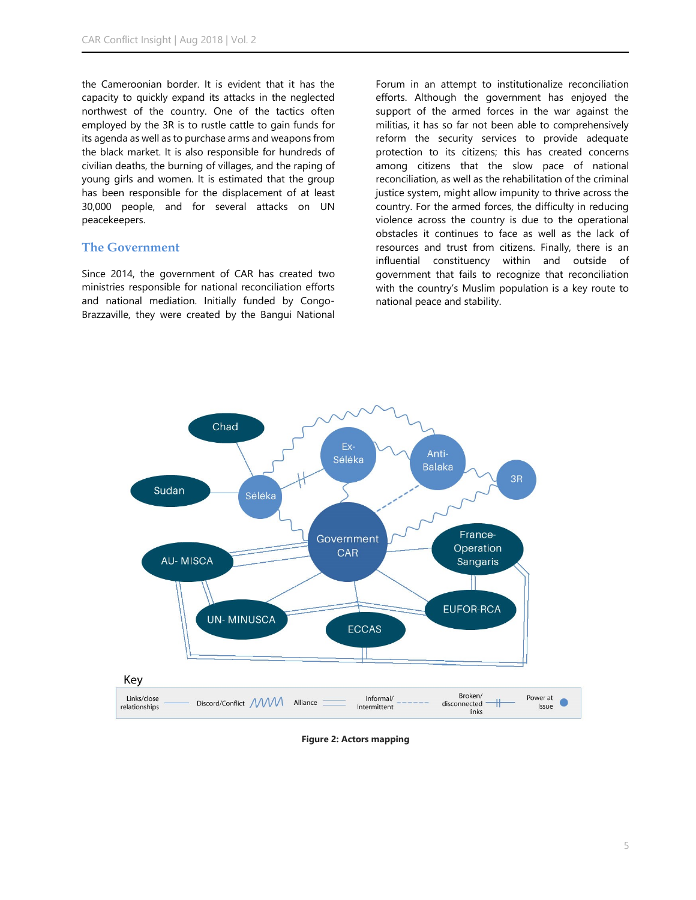the Cameroonian border. It is evident that it has the capacity to quickly expand its attacks in the neglected northwest of the country. One of the tactics often employed by the 3R is to rustle cattle to gain funds for its agenda as well as to purchase arms and weapons from the black market. It is also responsible for hundreds of civilian deaths, the burning of villages, and the raping of young girls and women. It is estimated that the group has been responsible for the displacement of at least 30,000 people, and for several attacks on UN peacekeepers.

#### **The Government**

Since 2014, the government of CAR has created two ministries responsible for national reconciliation efforts and national mediation. Initially funded by Congo-Brazzaville, they were created by the Bangui National Forum in an attempt to institutionalize reconciliation efforts. Although the government has enjoyed the support of the armed forces in the war against the militias, it has so far not been able to comprehensively reform the security services to provide adequate protection to its citizens; this has created concerns among citizens that the slow pace of national reconciliation, as well as the rehabilitation of the criminal justice system, might allow impunity to thrive across the country. For the armed forces, the difficulty in reducing violence across the country is due to the operational obstacles it continues to face as well as the lack of resources and trust from citizens. Finally, there is an influential constituency within and outside of government that fails to recognize that reconciliation with the country's Muslim population is a key route to national peace and stability.



**Figure 2: Actors mapping**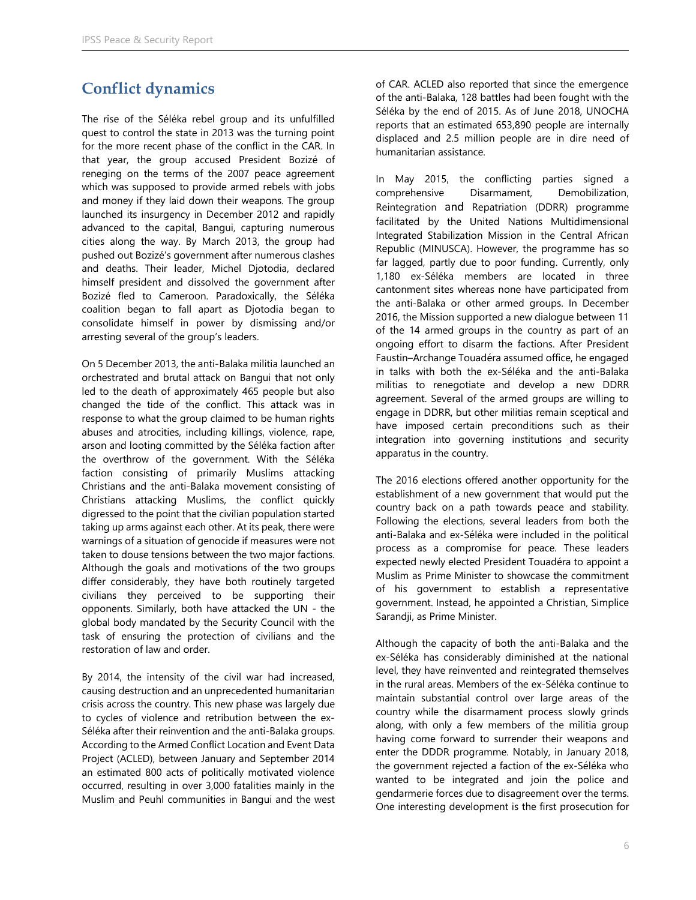# **Conflict dynamics**

The rise of the Séléka rebel group and its unfulfilled quest to control the state in 2013 was the turning point for the more recent phase of the conflict in the CAR. In that year, the group accused President Bozizé of reneging on the terms of the 2007 peace agreement which was supposed to provide armed rebels with jobs and money if they laid down their weapons. The group launched its insurgency in December 2012 and rapidly advanced to the capital, Bangui, capturing numerous cities along the way. By March 2013, the group had pushed out Bozizé's government after numerous clashes and deaths. Their leader, Michel Djotodia, declared himself president and dissolved the government after Bozizé fled to Cameroon. Paradoxically, the Séléka coalition began to fall apart as Djotodia began to consolidate himself in power by dismissing and/or arresting several of the group's leaders.

On 5 December 2013, the anti-Balaka militia launched an orchestrated and brutal attack on Bangui that not only led to the death of approximately 465 people but also changed the tide of the conflict. This attack was in response to what the group claimed to be human rights abuses and atrocities, including killings, violence, rape, arson and looting committed by the Séléka faction after the overthrow of the government. With the Séléka faction consisting of primarily Muslims attacking Christians and the anti-Balaka movement consisting of Christians attacking Muslims, the conflict quickly digressed to the point that the civilian population started taking up arms against each other. At its peak, there were warnings of a situation of genocide if measures were not taken to douse tensions between the two major factions. Although the goals and motivations of the two groups differ considerably, they have both routinely targeted civilians they perceived to be supporting their opponents. Similarly, both have attacked the UN - the global body mandated by the Security Council with the task of ensuring the protection of civilians and the restoration of law and order.

By 2014, the intensity of the civil war had increased, causing destruction and an unprecedented humanitarian crisis across the country. This new phase was largely due to cycles of violence and retribution between the ex-Séléka after their reinvention and the anti-Balaka groups. According to the Armed Conflict Location and Event Data Project (ACLED), between January and September 2014 an estimated 800 acts of politically motivated violence occurred, resulting in over 3,000 fatalities mainly in the Muslim and Peuhl communities in Bangui and the west

of CAR. ACLED also reported that since the emergence of the anti-Balaka, 128 battles had been fought with the Séléka by the end of 2015. As of June 2018, UNOCHA reports that an estimated 653,890 people are internally displaced and 2.5 million people are in dire need of humanitarian assistance.

In May 2015, the conflicting parties signed a comprehensive Disarmament, Demobilization, Reintegration and Repatriation (DDRR) programme facilitated by the United Nations Multidimensional Integrated Stabilization Mission in the Central African Republic (MINUSCA). However, the programme has so far lagged, partly due to poor funding. Currently, only 1,180 ex-Séléka members are located in three cantonment sites whereas none have participated from the anti-Balaka or other armed groups. In December 2016, the Mission supported a new dialogue between 11 of the 14 armed groups in the country as part of an ongoing effort to disarm the factions. After President Faustin–Archange Touadéra assumed office, he engaged in talks with both the ex-Séléka and the anti-Balaka militias to renegotiate and develop a new DDRR agreement. Several of the armed groups are willing to engage in DDRR, but other militias remain sceptical and have imposed certain preconditions such as their integration into governing institutions and security apparatus in the country.

The 2016 elections offered another opportunity for the establishment of a new government that would put the country back on a path towards peace and stability. Following the elections, several leaders from both the anti-Balaka and ex-Séléka were included in the political process as a compromise for peace. These leaders expected newly elected President Touadéra to appoint a Muslim as Prime Minister to showcase the commitment of his government to establish a representative government. Instead, he appointed a Christian, Simplice Sarandji, as Prime Minister.

Although the capacity of both the anti-Balaka and the ex-Séléka has considerably diminished at the national level, they have reinvented and reintegrated themselves in the rural areas. Members of the ex-Séléka continue to maintain substantial control over large areas of the country while the disarmament process slowly grinds along, with only a few members of the militia group having come forward to surrender their weapons and enter the DDDR programme. Notably, in January 2018, the government rejected a faction of the ex-Séléka who wanted to be integrated and join the police and gendarmerie forces due to disagreement over the terms. One interesting development is the first prosecution for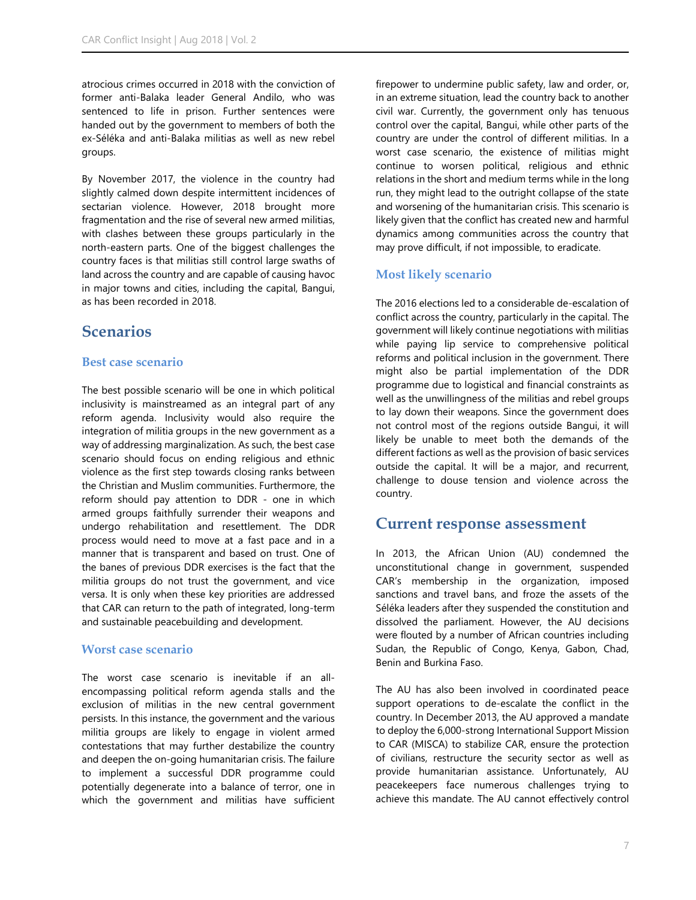atrocious crimes occurred in 2018 with the conviction of former anti-Balaka leader General Andilo, who was sentenced to life in prison. Further sentences were handed out by the government to members of both the ex-Séléka and anti-Balaka militias as well as new rebel groups.

By November 2017, the violence in the country had slightly calmed down despite intermittent incidences of sectarian violence. However, 2018 brought more fragmentation and the rise of several new armed militias, with clashes between these groups particularly in the north-eastern parts. One of the biggest challenges the country faces is that militias still control large swaths of land across the country and are capable of causing havoc in major towns and cities, including the capital, Bangui, as has been recorded in 2018.

## **Scenarios**

#### **Best case scenario**

The best possible scenario will be one in which political inclusivity is mainstreamed as an integral part of any reform agenda. Inclusivity would also require the integration of militia groups in the new government as a way of addressing marginalization. As such, the best case scenario should focus on ending religious and ethnic violence as the first step towards closing ranks between the Christian and Muslim communities. Furthermore, the reform should pay attention to DDR - one in which armed groups faithfully surrender their weapons and undergo rehabilitation and resettlement. The DDR process would need to move at a fast pace and in a manner that is transparent and based on trust. One of the banes of previous DDR exercises is the fact that the militia groups do not trust the government, and vice versa. It is only when these key priorities are addressed that CAR can return to the path of integrated, long-term and sustainable peacebuilding and development.

#### **Worst case scenario**

The worst case scenario is inevitable if an allencompassing political reform agenda stalls and the exclusion of militias in the new central government persists. In this instance, the government and the various militia groups are likely to engage in violent armed contestations that may further destabilize the country and deepen the on-going humanitarian crisis. The failure to implement a successful DDR programme could potentially degenerate into a balance of terror, one in which the government and militias have sufficient firepower to undermine public safety, law and order, or, in an extreme situation, lead the country back to another civil war. Currently, the government only has tenuous control over the capital, Bangui, while other parts of the country are under the control of different militias. In a worst case scenario, the existence of militias might continue to worsen political, religious and ethnic relations in the short and medium terms while in the long run, they might lead to the outright collapse of the state and worsening of the humanitarian crisis. This scenario is likely given that the conflict has created new and harmful dynamics among communities across the country that may prove difficult, if not impossible, to eradicate.

#### **Most likely scenario**

The 2016 elections led to a considerable de-escalation of conflict across the country, particularly in the capital. The government will likely continue negotiations with militias while paying lip service to comprehensive political reforms and political inclusion in the government. There might also be partial implementation of the DDR programme due to logistical and financial constraints as well as the unwillingness of the militias and rebel groups to lay down their weapons. Since the government does not control most of the regions outside Bangui, it will likely be unable to meet both the demands of the different factions as well as the provision of basic services outside the capital. It will be a major, and recurrent, challenge to douse tension and violence across the country.

## **Current response assessment**

In 2013, the African Union (AU) condemned the unconstitutional change in government, suspended CAR's membership in the organization, imposed sanctions and travel bans, and froze the assets of the Séléka leaders after they suspended the constitution and dissolved the parliament. However, the AU decisions were flouted by a number of African countries including Sudan, the Republic of Congo, Kenya, Gabon, Chad, Benin and Burkina Faso.

The AU has also been involved in coordinated peace support operations to de-escalate the conflict in the country. In December 2013, the AU approved a mandate to deploy the 6,000-strong International Support Mission to CAR (MISCA) to stabilize CAR, ensure the protection of civilians, restructure the security sector as well as provide humanitarian assistance. Unfortunately, AU peacekeepers face numerous challenges trying to achieve this mandate. The AU cannot effectively control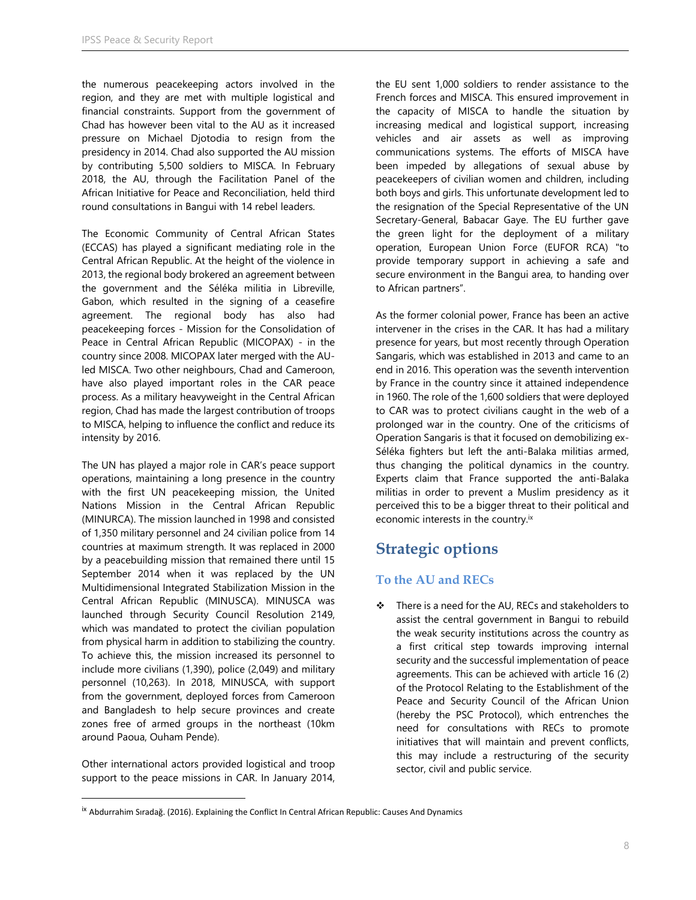the numerous peacekeeping actors involved in the region, and they are met with multiple logistical and financial constraints. Support from the government of Chad has however been vital to the AU as it increased pressure on Michael Djotodia to resign from the presidency in 2014. Chad also supported the AU mission by contributing 5,500 soldiers to MISCA. In February 2018, the AU, through the Facilitation Panel of the African Initiative for Peace and Reconciliation, held third round consultations in Bangui with 14 rebel leaders.

The Economic Community of Central African States (ECCAS) has played a significant mediating role in the Central African Republic. At the height of the violence in 2013, the regional body brokered an agreement between the government and the Séléka militia in Libreville, Gabon, which resulted in the signing of a ceasefire agreement. The regional body has also had peacekeeping forces - Mission for the Consolidation of Peace in Central African Republic (MICOPAX) - in the country since 2008. MICOPAX later merged with the AUled MISCA. Two other neighbours, Chad and Cameroon, have also played important roles in the CAR peace process. As a military heavyweight in the Central African region, Chad has made the largest contribution of troops to MISCA, helping to influence the conflict and reduce its intensity by 2016.

The UN has played a major role in CAR's peace support operations, maintaining a long presence in the country with the first UN peacekeeping mission, the United Nations Mission in the Central African Republic (MINURCA). The mission launched in 1998 and consisted of 1,350 military personnel and 24 civilian police from 14 countries at maximum strength. It was replaced in 2000 by a peacebuilding mission that remained there until 15 September 2014 when it was replaced by the UN Multidimensional Integrated Stabilization Mission in the Central African Republic (MINUSCA). MINUSCA was launched through Security Council Resolution 2149, which was mandated to protect the civilian population from physical harm in addition to stabilizing the country. To achieve this, the mission increased its personnel to include more civilians (1,390), police (2,049) and military personnel (10,263). In 2018, MINUSCA, with support from the government, deployed forces from Cameroon and Bangladesh to help secure provinces and create zones free of armed groups in the northeast (10km around Paoua, Ouham Pende).

Other international actors provided logistical and troop support to the peace missions in CAR. In January 2014,

 $\overline{\phantom{a}}$ 

the EU sent 1,000 soldiers to render assistance to the French forces and MISCA. This ensured improvement in the capacity of MISCA to handle the situation by increasing medical and logistical support, increasing vehicles and air assets as well as improving communications systems. The efforts of MISCA have been impeded by allegations of sexual abuse by peacekeepers of civilian women and children, including both boys and girls. This unfortunate development led to the resignation of the Special Representative of the UN Secretary-General, Babacar Gaye. The EU further gave the green light for the deployment of a military operation, European Union Force (EUFOR RCA) "to provide temporary support in achieving a safe and secure environment in the Bangui area, to handing over to African partners".

As the former colonial power, France has been an active intervener in the crises in the CAR. It has had a military presence for years, but most recently through Operation Sangaris, which was established in 2013 and came to an end in 2016. This operation was the seventh intervention by France in the country since it attained independence in 1960. The role of the 1,600 soldiers that were deployed to CAR was to protect civilians caught in the web of a prolonged war in the country. One of the criticisms of Operation Sangaris is that it focused on demobilizing ex-Séléka fighters but left the anti-Balaka militias armed, thus changing the political dynamics in the country. Experts claim that France supported the anti-Balaka militias in order to prevent a Muslim presidency as it perceived this to be a bigger threat to their political and economic interests in the country.<sup>ix</sup>

# **Strategic options**

### **To the AU and RECs**

 There is a need for the AU, RECs and stakeholders to assist the central government in Bangui to rebuild the weak security institutions across the country as a first critical step towards improving internal security and the successful implementation of peace agreements. This can be achieved with article 16 (2) of the Protocol Relating to the Establishment of the Peace and Security Council of the African Union (hereby the PSC Protocol), which entrenches the need for consultations with RECs to promote initiatives that will maintain and prevent conflicts, this may include a restructuring of the security sector, civil and public service.

ix Abdurrahim Sıradağ. (2016). Explaining the Conflict In Central African Republic: Causes And Dynamics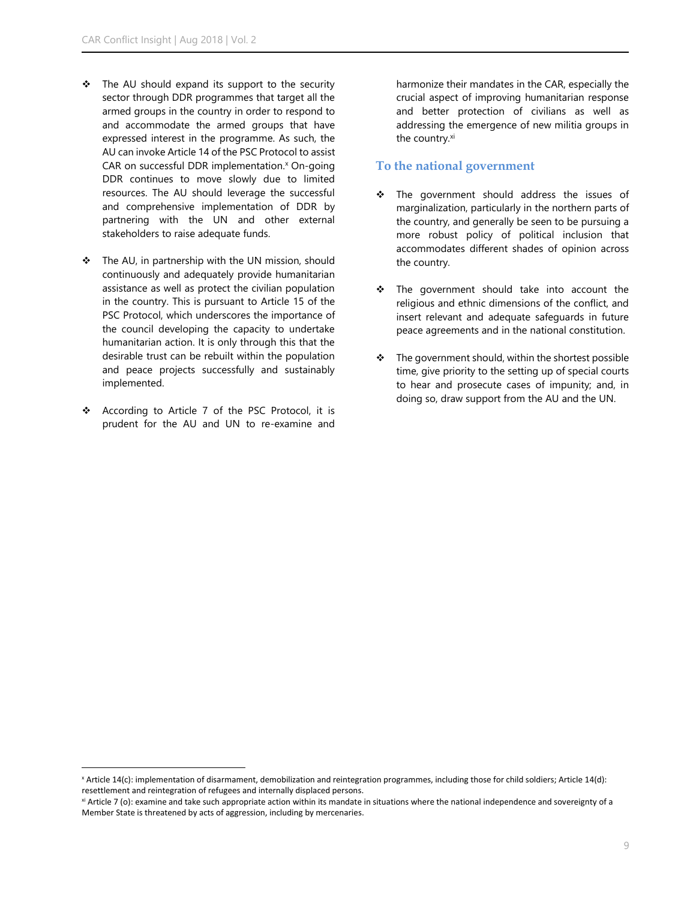- $\div$  The AU should expand its support to the security sector through DDR programmes that target all the armed groups in the country in order to respond to and accommodate the armed groups that have expressed interest in the programme. As such, the AU can invoke Article 14 of the PSC Protocol to assist CAR on successful DDR implementation.<sup>x</sup> On-going DDR continues to move slowly due to limited resources. The AU should leverage the successful and comprehensive implementation of DDR by partnering with the UN and other external stakeholders to raise adequate funds.
- The AU, in partnership with the UN mission, should continuously and adequately provide humanitarian assistance as well as protect the civilian population in the country. This is pursuant to Article 15 of the PSC Protocol, which underscores the importance of the council developing the capacity to undertake humanitarian action. It is only through this that the desirable trust can be rebuilt within the population and peace projects successfully and sustainably implemented.
- \* According to Article 7 of the PSC Protocol, it is prudent for the AU and UN to re-examine and

l

harmonize their mandates in the CAR, especially the crucial aspect of improving humanitarian response and better protection of civilians as well as addressing the emergence of new militia groups in the country.<sup>xi</sup>

#### **To the national government**

- \* The government should address the issues of marginalization, particularly in the northern parts of the country, and generally be seen to be pursuing a more robust policy of political inclusion that accommodates different shades of opinion across the country.
- \* The government should take into account the religious and ethnic dimensions of the conflict, and insert relevant and adequate safeguards in future peace agreements and in the national constitution.
- $\cdot \cdot$  The government should, within the shortest possible time, give priority to the setting up of special courts to hear and prosecute cases of impunity; and, in doing so, draw support from the AU and the UN.

<sup>x</sup> Article 14(c): implementation of disarmament, demobilization and reintegration programmes, including those for child soldiers; Article 14(d): resettlement and reintegration of refugees and internally displaced persons.

xi Article 7 (o): examine and take such appropriate action within its mandate in situations where the national independence and sovereignty of a Member State is threatened by acts of aggression, including by mercenaries.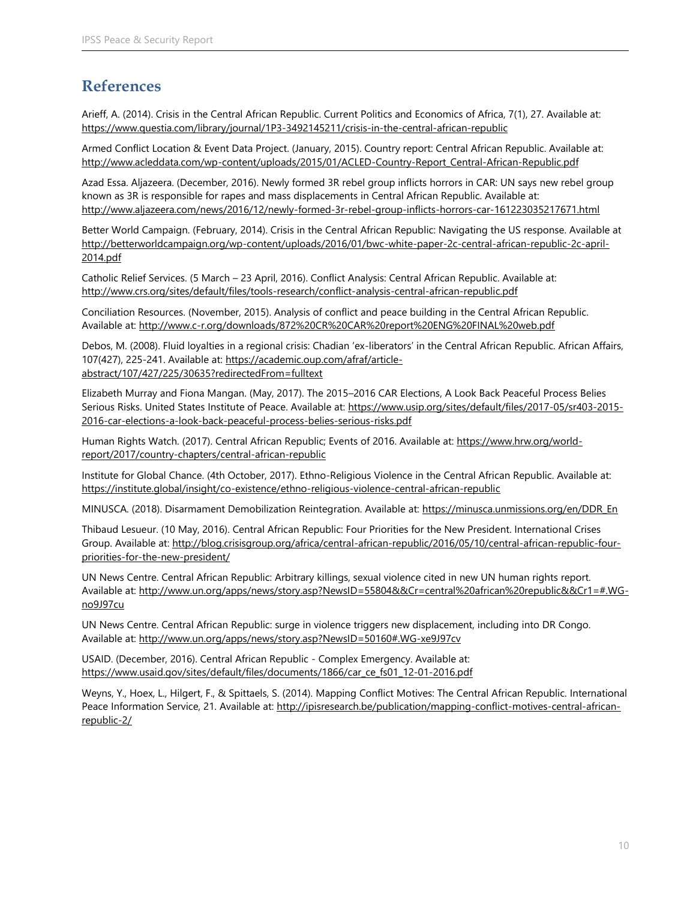# **References**

Arieff, A. (2014). Crisis in the Central African Republic. Current Politics and Economics of Africa, 7(1), 27. Available at: <https://www.questia.com/library/journal/1P3-3492145211/crisis-in-the-central-african-republic>

Armed Conflict Location & Event Data Project. (January, 2015). Country report: Central African Republic. Available at: [http://www.acleddata.com/wp-content/uploads/2015/01/ACLED-Country-Report\\_Central-African-Republic.pdf](http://www.acleddata.com/wp-content/uploads/2015/01/ACLED-Country-Report_Central-African-Republic.pdf)

Azad Essa. Aljazeera. (December, 2016). Newly formed 3R rebel group inflicts horrors in CAR: UN says new rebel group known as 3R is responsible for rapes and mass displacements in Central African Republic. Available at: <http://www.aljazeera.com/news/2016/12/newly-formed-3r-rebel-group-inflicts-horrors-car-161223035217671.html>

Better World Campaign. (February, 2014). Crisis in the Central African Republic: Navigating the US response. Available at [http://betterworldcampaign.org/wp-content/uploads/2016/01/bwc-white-paper-2c-central-african-republic-2c-april-](http://betterworldcampaign.org/wp-content/uploads/2016/01/bwc-white-paper-2c-central-african-republic-2c-april-2014.pdf)[2014.pdf](http://betterworldcampaign.org/wp-content/uploads/2016/01/bwc-white-paper-2c-central-african-republic-2c-april-2014.pdf)

Catholic Relief Services. (5 March – 23 April, 2016). Conflict Analysis: Central African Republic. Available at: <http://www.crs.org/sites/default/files/tools-research/conflict-analysis-central-african-republic.pdf>

Conciliation Resources. (November, 2015). Analysis of conflict and peace building in the Central African Republic. Available at:<http://www.c-r.org/downloads/872%20CR%20CAR%20report%20ENG%20FINAL%20web.pdf>

Debos, M. (2008). Fluid loyalties in a regional crisis: Chadian 'ex-liberators' in the Central African Republic. African Affairs, 107(427), 225-241. Available at: [https://academic.oup.com/afraf/article](https://academic.oup.com/afraf/article-abstract/107/427/225/30635?redirectedFrom=fulltext%20)[abstract/107/427/225/30635?redirectedFrom=fulltext](https://academic.oup.com/afraf/article-abstract/107/427/225/30635?redirectedFrom=fulltext%20)

Elizabeth Murray and Fiona Mangan. (May, 2017). The 2015–2016 CAR Elections, A Look Back Peaceful Process Belies Serious Risks. United States Institute of Peace. Available at: [https://www.usip.org/sites/default/files/2017-05/sr403-2015-](https://www.usip.org/sites/default/files/2017-05/sr403-2015-2016-car-elections-a-look-back-peaceful-process-belies-serious-risks.pdf) [2016-car-elections-a-look-back-peaceful-process-belies-serious-risks.pdf](https://www.usip.org/sites/default/files/2017-05/sr403-2015-2016-car-elections-a-look-back-peaceful-process-belies-serious-risks.pdf)

Human Rights Watch. (2017). Central African Republic; Events of 2016. Available at: [https://www.hrw.org/world](https://www.hrw.org/world-report/2017/country-chapters/central-african-republic)[report/2017/country-chapters/central-african-republic](https://www.hrw.org/world-report/2017/country-chapters/central-african-republic)

Institute for Global Chance. (4th October, 2017). Ethno-Religious Violence in the Central African Republic. Available at: <https://institute.global/insight/co-existence/ethno-religious-violence-central-african-republic>

MINUSCA. (2018). Disarmament Demobilization Reintegration. Available at: [https://minusca.unmissions.org/en/DDR\\_En](https://minusca.unmissions.org/en/DDR_En)

Thibaud Lesueur. (10 May, 2016). Central African Republic: Four Priorities for the New President. International Crises Group. Available at[: http://blog.crisisgroup.org/africa/central-african-republic/2016/05/10/central-african-republic-four](http://blog.crisisgroup.org/africa/central-african-republic/2016/05/10/central-african-republic-four-priorities-for-the-new-president/)[priorities-for-the-new-president/](http://blog.crisisgroup.org/africa/central-african-republic/2016/05/10/central-african-republic-four-priorities-for-the-new-president/)

UN News Centre. Central African Republic: Arbitrary killings, sexual violence cited in new UN human rights report. Available at: [http://www.un.org/apps/news/story.asp?NewsID=55804&&Cr=central%20african%20republic&&Cr1=#.WG](http://www.un.org/apps/news/story.asp?NewsID=55804&&Cr=central%20african%20republic&&Cr1=%23.WG-no9J97cu)[no9J97cu](http://www.un.org/apps/news/story.asp?NewsID=55804&&Cr=central%20african%20republic&&Cr1=%23.WG-no9J97cu)

UN News Centre. Central African Republic: surge in violence triggers new displacement, including into DR Congo. Available at: [http://www.un.org/apps/news/story.asp?NewsID=50160#.WG-xe9J97cv](http://www.un.org/apps/news/story.asp?NewsID=50160%23.WG-xe9J97cv)

USAID. (December, 2016). Central African Republic - Complex Emergency. Available at: [https://www.usaid.gov/sites/default/files/documents/1866/car\\_ce\\_fs01\\_12-01-2016.pdf](https://www.usaid.gov/sites/default/files/documents/1866/car_ce_fs01_12-01-2016.pdf)

Weyns, Y., Hoex, L., Hilgert, F., & Spittaels, S. (2014). Mapping Conflict Motives: The Central African Republic. International Peace Information Service, 21. Available at[: http://ipisresearch.be/publication/mapping-conflict-motives-central-african](http://ipisresearch.be/publication/mapping-conflict-motives-central-african-republic-2/)[republic-2/](http://ipisresearch.be/publication/mapping-conflict-motives-central-african-republic-2/)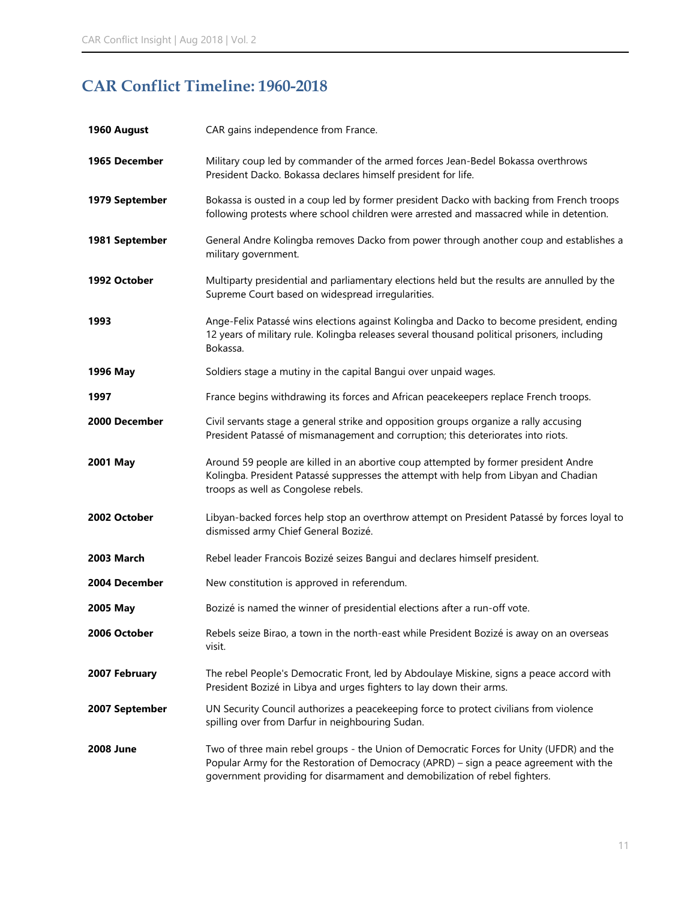# **CAR Conflict Timeline: 1960-2018**

| 1960 August      | CAR gains independence from France.                                                                                                                                                                                                                              |
|------------------|------------------------------------------------------------------------------------------------------------------------------------------------------------------------------------------------------------------------------------------------------------------|
| 1965 December    | Military coup led by commander of the armed forces Jean-Bedel Bokassa overthrows<br>President Dacko. Bokassa declares himself president for life.                                                                                                                |
| 1979 September   | Bokassa is ousted in a coup led by former president Dacko with backing from French troops<br>following protests where school children were arrested and massacred while in detention.                                                                            |
| 1981 September   | General Andre Kolingba removes Dacko from power through another coup and establishes a<br>military government.                                                                                                                                                   |
| 1992 October     | Multiparty presidential and parliamentary elections held but the results are annulled by the<br>Supreme Court based on widespread irregularities.                                                                                                                |
| 1993             | Ange-Felix Patassé wins elections against Kolingba and Dacko to become president, ending<br>12 years of military rule. Kolingba releases several thousand political prisoners, including<br>Bokassa.                                                             |
| 1996 May         | Soldiers stage a mutiny in the capital Bangui over unpaid wages.                                                                                                                                                                                                 |
| 1997             | France begins withdrawing its forces and African peacekeepers replace French troops.                                                                                                                                                                             |
| 2000 December    | Civil servants stage a general strike and opposition groups organize a rally accusing<br>President Patassé of mismanagement and corruption; this deteriorates into riots.                                                                                        |
| 2001 May         | Around 59 people are killed in an abortive coup attempted by former president Andre<br>Kolingba. President Patassé suppresses the attempt with help from Libyan and Chadian<br>troops as well as Congolese rebels.                                               |
| 2002 October     | Libyan-backed forces help stop an overthrow attempt on President Patassé by forces loyal to<br>dismissed army Chief General Bozizé.                                                                                                                              |
| 2003 March       | Rebel leader Francois Bozizé seizes Bangui and declares himself president.                                                                                                                                                                                       |
| 2004 December    | New constitution is approved in referendum.                                                                                                                                                                                                                      |
| 2005 May         | Bozizé is named the winner of presidential elections after a run-off vote.                                                                                                                                                                                       |
| 2006 October     | Rebels seize Birao, a town in the north-east while President Bozizé is away on an overseas<br>visit.                                                                                                                                                             |
| 2007 February    | The rebel People's Democratic Front, led by Abdoulaye Miskine, signs a peace accord with<br>President Bozizé in Libya and urges fighters to lay down their arms.                                                                                                 |
| 2007 September   | UN Security Council authorizes a peacekeeping force to protect civilians from violence<br>spilling over from Darfur in neighbouring Sudan.                                                                                                                       |
| <b>2008 June</b> | Two of three main rebel groups - the Union of Democratic Forces for Unity (UFDR) and the<br>Popular Army for the Restoration of Democracy (APRD) - sign a peace agreement with the<br>government providing for disarmament and demobilization of rebel fighters. |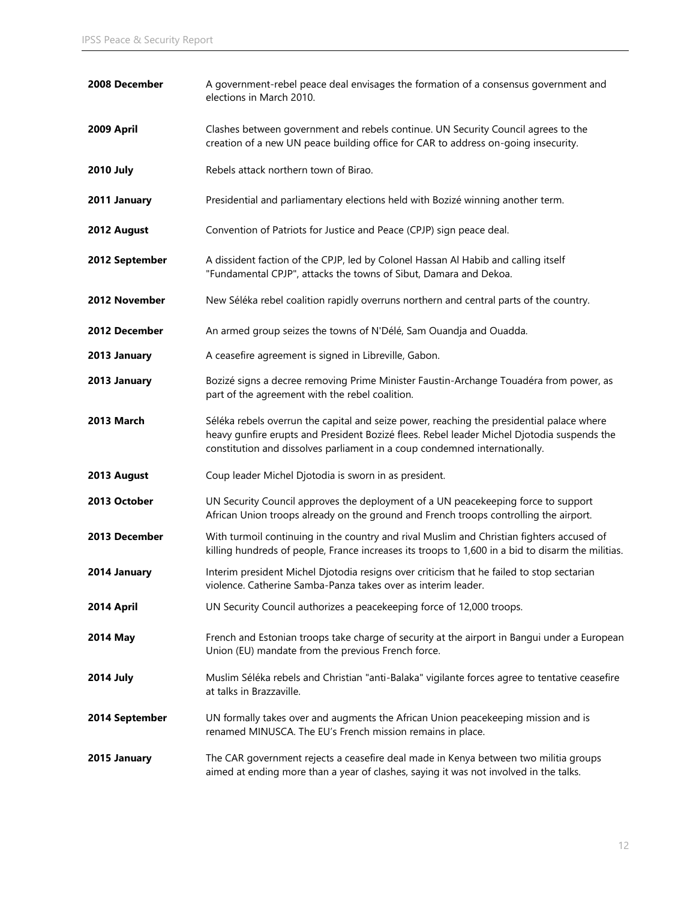| 2008 December    | A government-rebel peace deal envisages the formation of a consensus government and<br>elections in March 2010.                                                                                                                                                       |
|------------------|-----------------------------------------------------------------------------------------------------------------------------------------------------------------------------------------------------------------------------------------------------------------------|
| 2009 April       | Clashes between government and rebels continue. UN Security Council agrees to the<br>creation of a new UN peace building office for CAR to address on-going insecurity.                                                                                               |
| <b>2010 July</b> | Rebels attack northern town of Birao.                                                                                                                                                                                                                                 |
| 2011 January     | Presidential and parliamentary elections held with Bozizé winning another term.                                                                                                                                                                                       |
| 2012 August      | Convention of Patriots for Justice and Peace (CPJP) sign peace deal.                                                                                                                                                                                                  |
| 2012 September   | A dissident faction of the CPJP, led by Colonel Hassan Al Habib and calling itself<br>"Fundamental CPJP", attacks the towns of Sibut, Damara and Dekoa.                                                                                                               |
| 2012 November    | New Séléka rebel coalition rapidly overruns northern and central parts of the country.                                                                                                                                                                                |
| 2012 December    | An armed group seizes the towns of N'Délé, Sam Ouandja and Ouadda.                                                                                                                                                                                                    |
| 2013 January     | A ceasefire agreement is signed in Libreville, Gabon.                                                                                                                                                                                                                 |
| 2013 January     | Bozizé signs a decree removing Prime Minister Faustin-Archange Touadéra from power, as<br>part of the agreement with the rebel coalition.                                                                                                                             |
| 2013 March       | Séléka rebels overrun the capital and seize power, reaching the presidential palace where<br>heavy gunfire erupts and President Bozizé flees. Rebel leader Michel Djotodia suspends the<br>constitution and dissolves parliament in a coup condemned internationally. |
| 2013 August      | Coup leader Michel Djotodia is sworn in as president.                                                                                                                                                                                                                 |
| 2013 October     | UN Security Council approves the deployment of a UN peacekeeping force to support<br>African Union troops already on the ground and French troops controlling the airport.                                                                                            |
| 2013 December    | With turmoil continuing in the country and rival Muslim and Christian fighters accused of<br>killing hundreds of people, France increases its troops to 1,600 in a bid to disarm the militias.                                                                        |
| 2014 January     | Interim president Michel Djotodia resigns over criticism that he failed to stop sectarian<br>violence. Catherine Samba-Panza takes over as interim leader.                                                                                                            |
| 2014 April       | UN Security Council authorizes a peacekeeping force of 12,000 troops.                                                                                                                                                                                                 |
| 2014 May         | French and Estonian troops take charge of security at the airport in Bangui under a European<br>Union (EU) mandate from the previous French force.                                                                                                                    |
| <b>2014 July</b> | Muslim Séléka rebels and Christian "anti-Balaka" vigilante forces agree to tentative ceasefire<br>at talks in Brazzaville.                                                                                                                                            |
| 2014 September   | UN formally takes over and augments the African Union peacekeeping mission and is<br>renamed MINUSCA. The EU's French mission remains in place.                                                                                                                       |
| 2015 January     | The CAR government rejects a ceasefire deal made in Kenya between two militia groups<br>aimed at ending more than a year of clashes, saying it was not involved in the talks.                                                                                         |